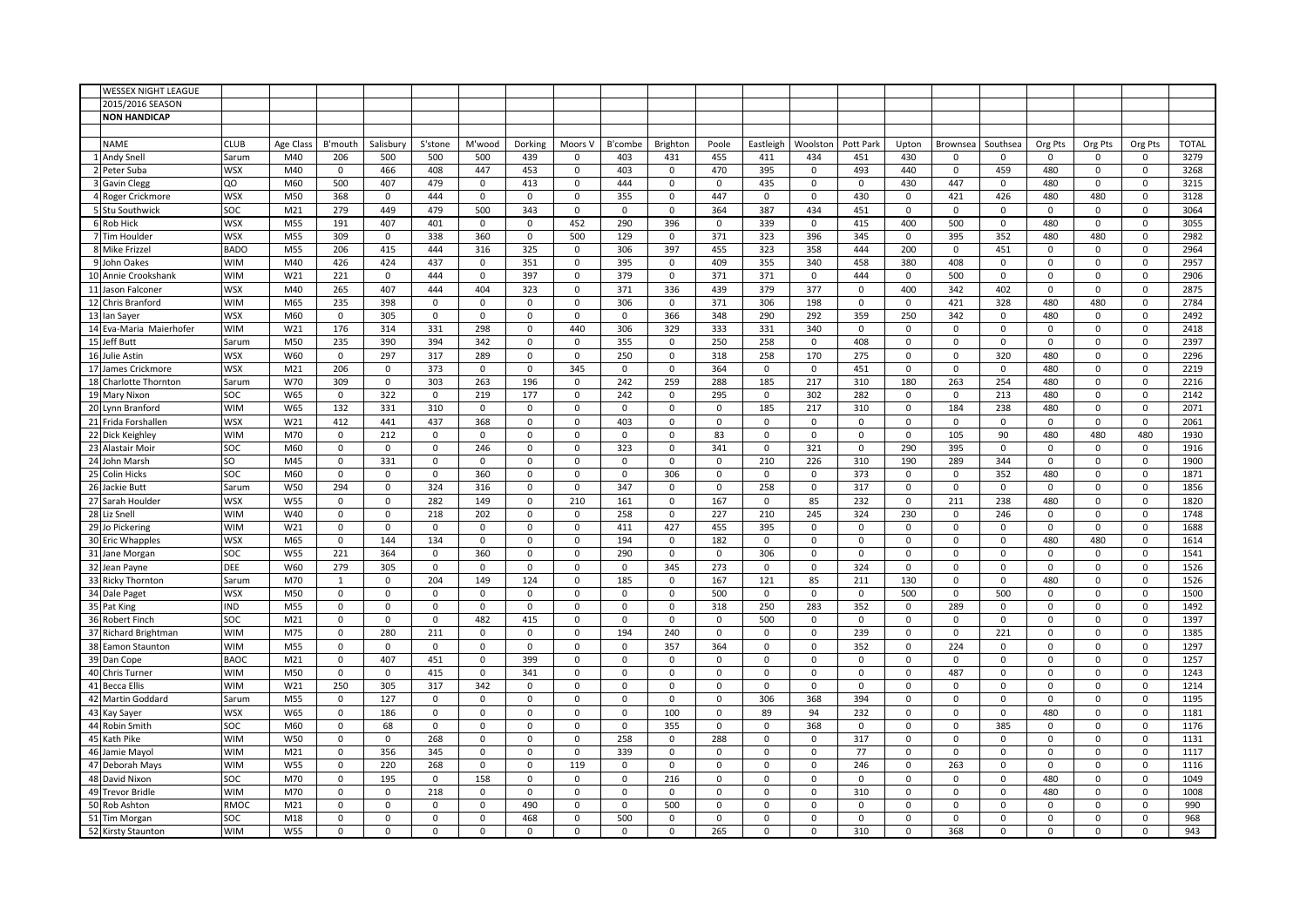| <b>WESSEX NIGHT LEAGUE</b> |             |                  |              |             |              |             |             |             |             |             |             |              |             |             |             |                |              |             |             |                     |              |
|----------------------------|-------------|------------------|--------------|-------------|--------------|-------------|-------------|-------------|-------------|-------------|-------------|--------------|-------------|-------------|-------------|----------------|--------------|-------------|-------------|---------------------|--------------|
| 2015/2016 SEASON           |             |                  |              |             |              |             |             |             |             |             |             |              |             |             |             |                |              |             |             |                     |              |
| <b>NON HANDICAP</b>        |             |                  |              |             |              |             |             |             |             |             |             |              |             |             |             |                |              |             |             |                     |              |
|                            |             |                  |              |             |              |             |             |             |             |             |             |              |             |             |             |                |              |             |             |                     |              |
| <b>NAME</b>                | <b>CLUB</b> | <b>Age Class</b> | B'mouth      | Salisbury   | S'stone      | M'wood      | Dorking     | Moors V     | B'combe     | Brighton    | Poole       | Eastleigh    | Woolstor    | Pott Park   | Upton       | Brownsea       | Southsea     | Org Pts     | Org Pts     | Org Pts             | <b>TOTAL</b> |
| 1 Andy Snell               | Sarum       | M40              | 206          | 500         | 500          | 500         | 439         | 0           | 403         | 431         | 455         | 411          | 434         | 451         | 430         | $\mathbf 0$    | 0            | 0           | 0           | 0                   | 3279         |
| 2 Peter Suba               | <b>WSX</b>  | M40              | $^{\circ}$   | 466         | 408          | 447         | 453         | 0           | 403         | 0           | 470         | 395          | $\mathbf 0$ | 493         | 440         | $\Omega$       | 459          | 480         | $\mathbf 0$ | 0                   | 3268         |
| 3 Gavin Clegg              | QO          | M60              | 500          | 407         | 479          | $\mathbf 0$ | 413         | 0           | 444         | 0           | 0           | 435          | 0           | 0           | 430         | 447            | 0            | 480         | $\mathbf 0$ | 0                   | 3215         |
| 4 Roger Crickmore          | WSX         | M50              | 368          | 0           | 444          | 0           | $\mathbf 0$ | 0           | 355         | 0           | 447         | $\mathbf 0$  | 0           | 430         | 0           | 421            | 426          | 480         | 480         | 0                   | 3128         |
| 5 Stu Southwick            | SOC         | M <sub>21</sub>  | 279          | 449         | 479          | 500         | 343         | 0           | 0           | 0           | 364         | 387          | 434         | 451         | 0           | $\mathbf 0$    | $\mathbf 0$  | 0           | $\mathbf 0$ | $\mathsf 0$         | 3064         |
| 6 Rob Hick                 | <b>WSX</b>  | M55              | 191          | 407         | 401          | 0           | $\mathbf 0$ | 452         | 290         | 396         | $\mathsf 0$ | 339          | $\mathsf 0$ | 415         | 400         | 500            | $\mathbf 0$  | 480         | $\mathbf 0$ | $\mathsf 0$         | 3055         |
| 7 Tim Houlder              | <b>WSX</b>  | M55              | 309          | $\mathbf 0$ | 338          | 360         | $\mathbf 0$ | 500         | 129         | $\mathbf 0$ | 371         | 323          | 396         | 345         | $\mathbf 0$ | 395            | 352          | 480         | 480         | $\mathbf 0$         | 2982         |
| 8 Mike Frizzel             | <b>BADO</b> | M55              | 206          | 415         | 444          | 316         | 325         | $\mathbf 0$ | 306         | 397         | 455         | 323          | 358         | 444         | 200         | $\mathbf 0$    | 451          | $\mathbf 0$ | $\mathbf 0$ | $\pmb{0}$           | 2964         |
| 9 John Oakes               | <b>WIM</b>  | M40              | 426          | 424         | 437          | $\mathsf 0$ | 351         | 0           | 395         | 0           | 409         | 355          | 340         | 458         | 380         | 408            | 0            | 0           | $\mathbf 0$ | $\pmb{0}$           | 2957         |
| 10 Annie Crookshank        | <b>WIM</b>  | W <sub>21</sub>  | 221          | $\mathbf 0$ | 444          | $\mathbf 0$ | 397         | 0           | 379         | 0           | 371         | 371          | $\mathbf 0$ | 444         | $\mathbf 0$ | 500            | $\mathbf 0$  | $\mathbf 0$ | $\mathbf 0$ | $\mathbf 0$         | 2906         |
| 11 Jason Falconer          | <b>WSX</b>  | M40              | 265          | 407         | 444          | 404         | 323         | 0           | 371         | 336         | 439         | 379          | 377         | 0           | 400         | 342            | 402          | 0           | $\mathbf 0$ | 0                   | 2875         |
| 12 Chris Branford          | <b>WIM</b>  | M65              | 235          | 398         | $\mathbf 0$  | 0           | 0           | 0           | 306         | 0           | 371         | 306          | 198         | 0           | 0           | 421            | 328          | 480         | 480         | $\mathbf 0$         | 2784         |
| 13 lan Sayer               | <b>WSX</b>  | M60              | $\mathbf 0$  | 305         | $\mathbf 0$  | 0           | $\mathbf 0$ | 0           | 0           | 366         | 348         | 290          | 292         | 359         | 250         | 342            | $\mathsf{O}$ | 480         | $\mathbf 0$ | 0                   | 2492         |
| 14 Eva-Maria Maierhofer    | <b>WIM</b>  | W21              | 176          | 314         | 331          | 298         | 0           | 440         | 306         | 329         | 333         | 331          | 340         | 0           | 0           | 0              | 0            | 0           | $\mathbf 0$ | $\pmb{0}$           | 2418         |
| 15 Jeff Butt               | Sarum       | M50              | 235          | 390         | 394          | 342         | $\Omega$    | $\Omega$    | 355         | 0           | 250         | 258          | $\mathbf 0$ | 408         | $\Omega$    | $\Omega$       | $\Omega$     | $\mathbf 0$ | $\mathbf 0$ | $\Omega$            | 2397         |
| 16 Julie Astin             | <b>WSX</b>  | W60              | $\mathbf 0$  | 297         | 317          | 289         | $\mathsf 0$ | $\mathsf 0$ | 250         | 0           | 318         | 258          | 170         | 275         | 0           | $\pmb{0}$      | 320          | 480         | $\mathbf 0$ | $\mathsf 0$         | 2296         |
| 17 James Crickmore         | <b>WSX</b>  | M <sub>21</sub>  | 206          | $\mathbf 0$ | 373          | $\mathbf 0$ | $\mathbf 0$ | 345         | $\mathbf 0$ | $\mathbf 0$ | 364         | $\mathbf 0$  | $\mathbf 0$ | 451         | 0           | $\mathbf 0$    | 0            | 480         | $\mathbf 0$ | $\mathbf 0$         | 2219         |
| 18 Charlotte Thornton      | Sarum       | W70              | 309          | $\mathsf 0$ | 303          | 263         | 196         | 0           | 242         | 259         | 288         | 185          | 217         | 310         | 180         | 263            | 254          | 480         | $\mathbf 0$ | $\pmb{0}$           | 2216         |
| 19 Mary Nixon              | SOC         | W65              | $\mathbf 0$  | 322         | $\mathbf 0$  | 219         | 177         | 0           | 242         | 0           | 295         | $\mathbf 0$  | 302         | 282         | 0           | $\mathbf 0$    | 213          | 480         | $\mathbf 0$ | $\pmb{0}$           | 2142         |
| 20 Lynn Branford           | <b>WIM</b>  | W65              | 132          | 331         | 310          | $\mathbf 0$ | $\mathbf 0$ | 0           | 0           | 0           | 0           | 185          | 217         | 310         | 0           | 184            | 238          | 480         | $\mathbf 0$ | 0                   | 2071         |
| 21 Frida Forshallen        | <b>WSX</b>  | W21              | 412          | 441         | 437          | 368         | $\mathsf 0$ | 0           | 403         | 0           | $\mathbf 0$ | 0            | $\mathbf 0$ | 0           | 0           | $\mathbf 0$    | $\mathbf 0$  | 0           | $\mathbf 0$ | $\mathbf 0$         | 2061         |
| 22 Dick Keighley           | <b>WIM</b>  | M70              | $\mathbf 0$  | 212         | 0            | 0           | $\mathbf 0$ | 0           | 0           | 0           | 83          | $\mathbf 0$  | $\mathsf 0$ | $\mathbf 0$ | 0           | 105            | 90           | 480         | 480         | 480                 | 1930         |
| 23 Alastair Moir           | SOC         | M60              | $\pmb{0}$    | $\mathsf 0$ | $\mathbf 0$  | 246         | $\mathbf 0$ | $\mathbf 0$ | 323         | 0           | 341         | $\mathsf 0$  | 321         | $\mathsf 0$ | 290         | 395            | $\mathbf 0$  | $\Omega$    | $\mathbf 0$ | 0                   | 1916         |
| 24 John Marsh              | SO          | M45              | $\mathbf 0$  | 331         | $\mathbf 0$  | $\mathbf 0$ | $\mathbf 0$ | 0           | $\mathbf 0$ | 0           | 0           | 210          | 226         | 310         | 190         | 289            | 344          | 0           | $\mathbf 0$ | 0                   | 1900         |
| 25 Colin Hicks             | SOC         | M60              | $\mathbf 0$  | $\mathbf 0$ | $\mathbf 0$  | 360         | $\mathbf 0$ | 0           | $\mathbf 0$ | 306         | 0           | $\mathbf 0$  | $\mathbf 0$ | 373         | 0           | $\mathbf 0$    | 352          | 480         | $\mathbf 0$ | 0                   | 1871         |
| 26 Jackie Butt             | Sarum       | W50              | 294          | $\mathbf 0$ | 324          | 316         | $\mathbf 0$ | $\mathbf 0$ | 347         | 0           | $\pmb{0}$   | 258          | $\mathbf 0$ | 317         | 0           | $\mathbf 0$    | $\mathbf 0$  | 0           | $\mathbf 0$ | 0                   | 1856         |
| 27 Sarah Houlder           | <b>WSX</b>  | W55              | $\mathbf 0$  | 0           | 282          | 149         | $\mathbf 0$ | 210         | 161         | 0           | 167         | $\mathbf 0$  | 85          | 232         | 0           | 211            | 238          | 480         | $\mathbf 0$ | 0                   | 1820         |
| 28 Liz Snell               | <b>WIM</b>  | W40              | $\mathbf 0$  | $\mathbf 0$ | 218          | 202         | $\mathbf 0$ | 0           | 258         | 0           | 227         | 210          | 245         | 324         | 230         | $\mathbf 0$    | 246          | 0           | $\mathbf 0$ | 0                   | 1748         |
| 29 Jo Pickering            | <b>WIM</b>  | W21              | $\mathbf 0$  | 0           | 0            | 0           | 0           | 0           | 411         | 427         | 455         | 395          | 0           | 0           | 0           | $\mathbf 0$    | 0            | 0           | $\mathbf 0$ | $\pmb{0}$           | 1688         |
| 30 Eric Whapples           | <b>WSX</b>  | M65              | $\mathbf 0$  | 144         | 134          | $\mathsf 0$ | $\mathbf 0$ | 0           | 194         | 0           | 182         | $\mathbf 0$  | $\mathsf 0$ | $\mathsf 0$ | $\mathsf 0$ | $\Omega$       | 0            | 480         | 480         | $\mathsf 0$         | 1614         |
| 31 Jane Morgan             | SOC         | <b>W55</b>       | 221          | 364         | $\mathbf 0$  | 360         | $\mathsf 0$ | $\mathbf 0$ | 290         | $\mathbf 0$ | $\mathbf 0$ | 306          | $\mathbf 0$ | $\mathbf 0$ | $\mathbf 0$ | $\mathbf 0$    | $\mathbf 0$  | $\mathbf 0$ | $\mathbf 0$ | $\mathbf 0$         | 1541         |
| 32 Jean Payne              | <b>DEE</b>  | W60              | 279          | 305         | $\mathbf 0$  | $\mathbf 0$ | $\mathbf 0$ | $\mathbf 0$ | $\mathbf 0$ | 345         | 273         | $\mathbf{0}$ | $\mathbf 0$ | 324         | $\mathbf 0$ | $\mathbf 0$    | 0            | $\mathbf 0$ | $\mathbf 0$ | $\pmb{0}$           | 1526         |
| 33 Ricky Thornton          | Sarum       | M70              | 1            | $\mathbf 0$ | 204          | 149         | 124         | 0           | 185         | 0           | 167         | 121          | 85          | 211         | 130         | $\Omega$       | $\Omega$     | 480         | $\mathbf 0$ | $\mathbf 0$         | 1526         |
| 34 Dale Paget              | <b>WSX</b>  | M50              | $\mathbf 0$  | 0           | $\mathbf 0$  | 0           | 0           | 0           | $\mathbf 0$ | 0           | 500         | 0            | 0           | 0           | 500         | $\mathbf 0$    | 500          | 0           | $\mathbf 0$ | 0                   | 1500         |
| 35 Pat King                | <b>IND</b>  | M55              | $\mathbf 0$  | $\Omega$    | 0            | $\Omega$    | $\mathbf 0$ | 0           | $\mathbf 0$ | 0           | 318         | 250          | 283         | 352         | 0           | 289            | $\Omega$     | 0           | $\mathbf 0$ | 0                   | 1492         |
| 36 Robert Finch            | SOC         | M21              | $\mathbf 0$  | 0           | $\mathbf 0$  | 482         | 415         | 0           | 0           | 0           | 0           | 500          | 0           | $\mathbf 0$ | 0           | $\mathbf 0$    | $\mathbf 0$  | 0           | 0           | $\pmb{0}$           | 1397         |
| 37 Richard Brightman       | <b>WIM</b>  | M75              | $\mathbf 0$  | 280         | 211          | 0           | $\mathbf 0$ | 0           | 194         | 240         | 0           | $\mathbf 0$  | 0           | 239         | 0           | $\mathbf 0$    | 221          | 0           | $\mathbf 0$ | 0                   | 1385         |
| 38 Eamon Staunton          | <b>WIM</b>  | M55              | $\mathbf 0$  | $\mathsf 0$ | $\mathsf 0$  | 0           | $\mathbf 0$ | 0           | $\mathsf 0$ | 357         | 364         | $\mathsf 0$  | $\mathsf 0$ | 352         | $\mathsf 0$ | 224            | $\mathbf 0$  | $\mathsf 0$ | $\mathbf 0$ | $\mathsf 0$         | 1297         |
| 39 Dan Cope                | <b>BAOC</b> | M21              | $\pmb{0}$    | 407         | 451          | $\mathbf 0$ | 399         | $\mathbf 0$ | $\mathbf 0$ | $\mathbf 0$ | $\mathbf 0$ | $\mathbf 0$  | $\mathbf 0$ | $\mathbf 0$ | $\mathbf 0$ | $\mathbf 0$    | $\mathbf 0$  | $\mathbf 0$ | $\mathbf 0$ | $\mathsf{O}\xspace$ | 1257         |
| 40 Chris Turner            | <b>WIM</b>  | M50              | $\mathbf 0$  | $\Omega$    | 415          | $\mathbf 0$ | 341         | $\Omega$    | $\Omega$    | $\mathbf 0$ | $\mathbf 0$ | $\mathbf{0}$ | $\Omega$    | $\mathbf 0$ | 0           | 487            | $\Omega$     | 0           | $\mathbf 0$ | $\mathbf 0$         | 1243         |
| 41 Becca Ellis             | <b>WIM</b>  | W21              | 250          | 305         | 317          | 342         | $\mathbf 0$ | $\mathbf 0$ | 0           | 0           | 0           | 0            | $\mathbf 0$ | $\mathbf 0$ | 0           | $\mathbf 0$    | $\mathbf 0$  | 0           | $\mathbf 0$ | $\pmb{0}$           | 1214         |
| 42 Martin Goddard          | Sarum       | M55              | $\mathbf 0$  | 127         | $\mathsf{o}$ | $\mathsf 0$ | $\mathbf 0$ | 0           | $\mathbf 0$ | 0           | $\mathsf 0$ | 306          | 368         | 394         | 0           | $\mathbf 0$    | 0            | 0           | $\mathbf 0$ | $\pmb{0}$           | 1195         |
| 43 Kay Sayer               | <b>WSX</b>  | W65              | $\mathbf 0$  | 186         | 0            | $\Omega$    | $\Omega$    | 0           | $\Omega$    | 100         | 0           | 89           | 94          | 232         | $\Omega$    | $\Omega$       | $\Omega$     | 480         | 0           | 0                   | 1181         |
| 44 Robin Smith             | SOC         | M60              | $\mathbf 0$  | 68          | $\mathbf{0}$ | $\mathbf 0$ | $\mathbf 0$ | 0           | 0           | 355         | $\mathbf 0$ | 0            | 368         | 0           | 0           | $\mathbf 0$    | 385          | 0           | $\mathbf 0$ | $\pmb{0}$           | 1176         |
| 45 Kath Pike               | <b>WIM</b>  | W50              | $\mathbf 0$  | $\mathbf 0$ | 268          | 0           | 0           | 0           | 258         | 0           | 288         | $\mathbf 0$  | $\mathbf 0$ | 317         | 0           | 0              | 0            | 0           | $\mathbf 0$ | $\mathbf 0$         | 1131         |
| 46 Jamie Mayol             | <b>WIM</b>  | M21              | $\pmb{0}$    | 356         | 345          | $\mathsf 0$ | $\mathsf 0$ | $\mathsf 0$ | 339         | 0           | $\mathsf 0$ | $\mathsf 0$  | $\mathsf 0$ | 77          | $\mathsf 0$ | $\overline{0}$ | $\mathbf 0$  | $\mathsf 0$ | $\mathbf 0$ | 0                   | 1117         |
| 47 Deborah Mays            | <b>WIM</b>  | W55              | $\mathbf 0$  | 220         | 268          | $\mathsf 0$ | $\mathbf 0$ | 119         | 0           | 0           | $\mathsf 0$ | $\mathsf 0$  | $\mathsf 0$ | 246         | 0           | 263            | 0            | 0           | $\mathbf 0$ | 0                   | 1116         |
| 48 David Nixon             | SOC         | M70              | $\mathbf{0}$ | 195         | $\Omega$     | 158         | $\mathbf 0$ | 0           | $\mathbf 0$ | 216         | 0           | $\mathbf 0$  | $\Omega$    | $\mathbf 0$ | 0           | $\Omega$       | $\Omega$     | 480         | $\mathbf 0$ | $\Omega$            | 1049         |
| 49 Trevor Bridle           | <b>WIM</b>  | M70              | $\mathbf 0$  | $\mathbf 0$ | 218          | $\mathbf 0$ | $\mathbf 0$ | 0           | $\mathbf 0$ | 0           | 0           | $\mathbf 0$  | $\mathbf 0$ | 310         | 0           | $\Omega$       | 0            | 480         | $\mathbf 0$ | 0                   | 1008         |
| 50 Rob Ashton              | RMOC        | M <sub>21</sub>  | $\mathbf 0$  | $\mathbf 0$ | $\mathbf 0$  | $\mathbf 0$ | 490         | $\Omega$    | $\mathbf 0$ | 500         | 0           | $\mathbf{0}$ | $\mathbf 0$ | $\mathbf 0$ | 0           | $\mathbf 0$    | $\Omega$     | 0           | $\mathbf 0$ | $\mathbf 0$         | 990          |
| 51 Tim Morgan              | SOC         | M18              | $\mathbf 0$  | $\Omega$    | $\mathsf 0$  | $\mathbf 0$ | 468         | 0           | 500         | 0           | $\mathbf 0$ | $\mathbf 0$  | $\mathbf 0$ | $\mathsf 0$ | $\mathbf 0$ | $\Omega$       | $\Omega$     | 0           | $\mathbf 0$ | $\mathbf 0$         | 968          |
| 52 Kirsty Staunton         | <b>WIM</b>  | <b>W55</b>       | $\mathbf 0$  | $\Omega$    | $\Omega$     | $\Omega$    | $\mathbf 0$ | 0           | 0           | 0           | 265         | $\mathbf 0$  | $\Omega$    | 310         | 0           | 368            | 0            | 0           | 0           | 0                   | 943          |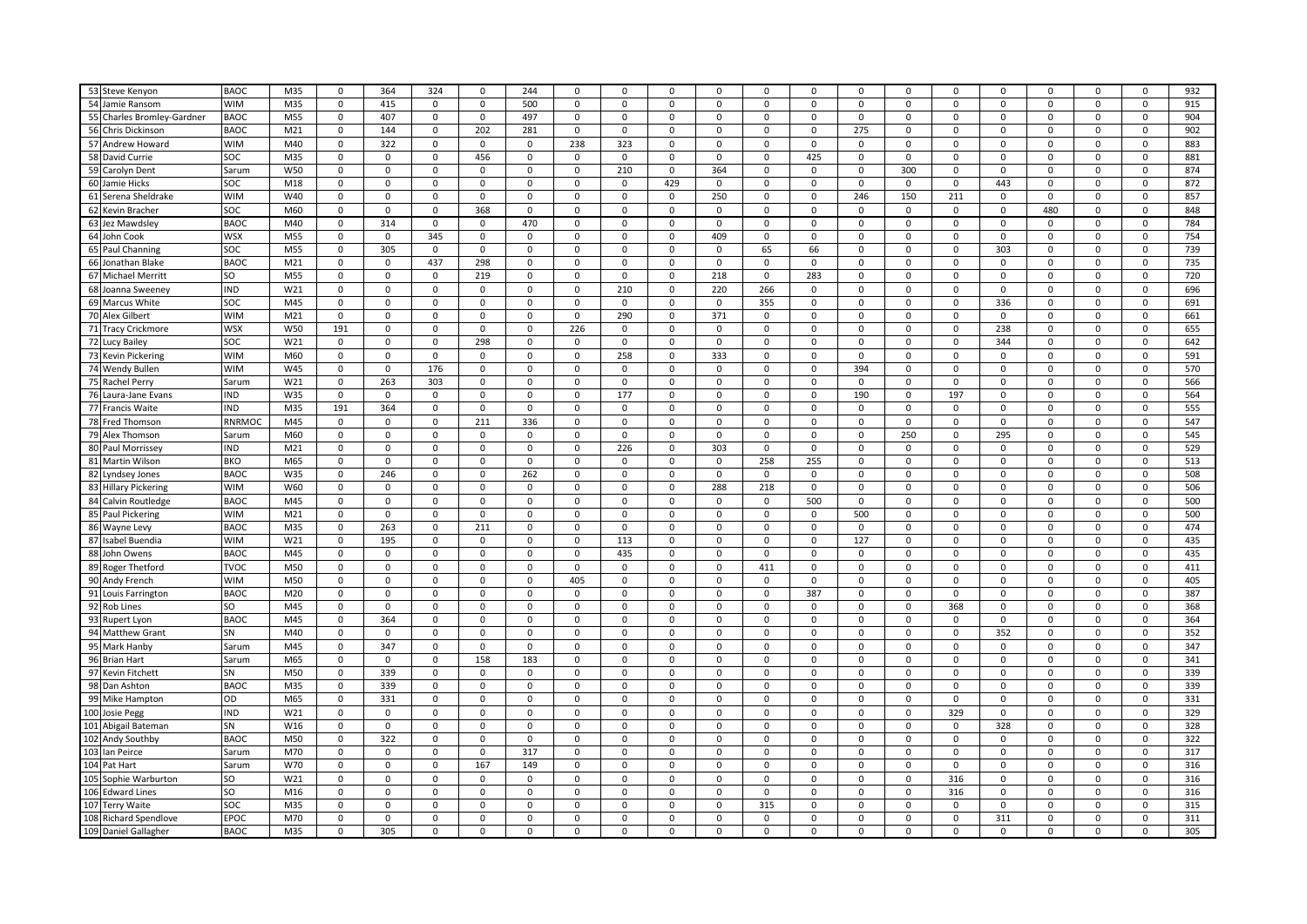| 53 Steve Kenyon                    | <b>BAOC</b> | M35             | $\mathsf 0$ | 364         | 324         | 0           | 244         | $\mathbf 0$  | $\mathsf 0$ | $\mathbf 0$         | $\mathsf 0$ | $\pmb{0}$    | 0           | 0           | 0           | $\mathsf 0$ | $\mathbf 0$ | $\mathsf 0$ | $\mathbf 0$    | $\mathsf 0$ | 932 |
|------------------------------------|-------------|-----------------|-------------|-------------|-------------|-------------|-------------|--------------|-------------|---------------------|-------------|--------------|-------------|-------------|-------------|-------------|-------------|-------------|----------------|-------------|-----|
| 54 Jamie Ransom                    | <b>WIM</b>  | M35             | $\pmb{0}$   |             |             | $\Omega$    |             | $\pmb{0}$    | $\Omega$    | 0                   | $\Omega$    | $\mathsf 0$  | $\mathbf 0$ |             | 0           | $\Omega$    |             |             | 0              | 0           |     |
|                                    |             |                 |             | 415         | 0           |             | 500         |              |             |                     |             |              |             | $\mathbf 0$ |             |             | 0           | 0           |                |             | 915 |
| 55 Charles Bromley-Gardner         | <b>BAOC</b> | M55             | $\mathbf 0$ | 407         | $\mathbf 0$ | 0           | 497         | $\mathbf 0$  | 0           | $\mathbf 0$         | $\mathbf 0$ | $\mathbf 0$  | $\mathbf 0$ | $\mathbf 0$ | 0           | $\mathbf 0$ | $\mathbf 0$ | 0           | $\mathbf 0$    | $\mathbf 0$ | 904 |
| 56 Chris Dickinson                 | <b>BAOC</b> | M <sub>21</sub> | $\mathbf 0$ | 144         | $\mathbf 0$ | 202         | 281         | $\mathbf 0$  | $\mathbf 0$ | $\mathbf 0$         | $\mathbf 0$ | $\mathbf 0$  | 0           | 275         | 0           | $\mathbf 0$ | $\mathbf 0$ | 0           | $\mathbf 0$    | $\mathbf 0$ | 902 |
| 57 Andrew Howard                   | <b>WIM</b>  | M40             | $\pmb{0}$   | 322         | $\mathbf 0$ | 0           | $\mathbf 0$ | 238          | 323         | $\mathsf 0$         | $\Omega$    | $\mathsf 0$  | 0           | $\mathbf 0$ | 0           | $\Omega$    | 0           | 0           | $\mathsf 0$    | 0           | 883 |
| 58 David Currie                    | soc         | M35             | $\mathsf 0$ | 0           | 0           | 456         | 0           | $\pmb{0}$    | 0           | 0                   | 0           | $\pmb{0}$    | 425         | $\mathbf 0$ | 0           | $\mathbf 0$ | 0           | 0           | 0              | 0           | 881 |
| 59 Carolyn Dent                    | Sarum       | W50             | $\mathbf 0$ | 0           | 0           | 0           | $\mathbf 0$ | $\mathbf 0$  | 210         | $\mathsf 0$         | 364         | $\mathbf 0$  | 0           | 0           | 300         | 0           | 0           | 0           | $\mathsf 0$    | $\mathbf 0$ | 874 |
| 60 Jamie Hicks                     | soc         | M18             | $\mathbf 0$ | 0           | 0           | 0           | 0           | $\pmb{0}$    | $\mathbf 0$ | 429                 | 0           | $\mathbf 0$  | $\mathbf 0$ | 0           | 0           | 0           | 443         | 0           | $\mathbf 0$    | $\mathsf 0$ | 872 |
| 61 Serena Sheldrake                | <b>WIM</b>  | W40             | 0           | 0           | 0           | 0           | 0           | $\mathbf 0$  | $\mathbf 0$ | 0                   | 250         | $\mathsf{o}$ | 0           | 246         | 150         | 211         | 0           | 0           | $\mathbf 0$    | 0           | 857 |
| 62 Kevin Bracher                   | soc         | M60             | $\pmb{0}$   | 0           | $\mathsf 0$ | 368         | $\Omega$    | $\pmb{0}$    | 0           | $\mathsf 0$         | $\Omega$    | $\mathsf 0$  | $\mathsf 0$ | $\mathsf 0$ | 0           | $\Omega$    | $\mathsf 0$ | 480         | $\mathsf 0$    | 0           | 848 |
| 63 Jez Mawdsley                    | BAOC        | M40             | $\mathbf 0$ | 314         | 0           | 0           | 470         | $\mathbf 0$  | 0           | $\mathbf 0$         | $\mathbf 0$ | $\mathbf 0$  | 0           | 0           | 0           | $\mathbf 0$ | $\mathbf 0$ | 0           | $\mathbf 0$    | $\mathbf 0$ | 784 |
| 64 John Cook                       | <b>WSX</b>  | M55             | $\mathbf 0$ | 0           | 345         | 0           | $\Omega$    | $\mathbf 0$  | 0           | 0                   | 409         | $\mathbf 0$  | 0           | 0           | $\Omega$    | $\Omega$    | 0           | 0           | 0              | 0           | 754 |
| 65 Paul Channing                   | soc         | M55             | $\pmb{0}$   | 305         | 0           | 0           | $\mathbf 0$ | $\pmb{0}$    | 0           | 0                   | 0           | 65           | 66          | $\mathbf 0$ | 0           | $\mathbf 0$ | 303         | 0           | 0              | 0           | 739 |
| 66 Jonathan Blake                  | <b>BAOC</b> | M21             | $\mathbf 0$ | 0           | 437         | 298         | 0           | $\mathbf 0$  | $\mathbf 0$ | $\mathsf{O}$        | 0           | $\mathbf 0$  | 0           | $\mathbf 0$ | 0           | 0           | 0           | 0           | $\mathbf 0$    | 0           | 735 |
| 67 Michael Merritt                 | lso         | M55             | $\pmb{0}$   | 0           | 0           | 219         | $\mathbf 0$ | $\pmb{0}$    | $\mathbf 0$ | $\mathbf 0$         | 218         | $\mathsf 0$  | 283         | $\mathbf 0$ | 0           | $\mathbf 0$ | 0           | 0           | $\mathbf 0$    | 0           | 720 |
| 68 Joanna Sweeney                  | <b>IND</b>  | W21             | 0           | 0           | 0           | 0           | 0           | $\mathbf 0$  | 210         | $\mathsf{O}$        | 220         | 266          | 0           | 0           | 0           | 0           | 0           | 0           | 0              | 0           | 696 |
| 69 Marcus White                    | soc         | M45             | $\mathbf 0$ | 0           | 0           | 0           | $\mathbf 0$ | $\mathsf 0$  | $\mathbf 0$ | $\mathsf 0$         | 0           | 355          | 0           | $\mathbf 0$ | 0           | 0           | 336         | $\mathbf 0$ | $\mathsf{o}\,$ | $\mathbf 0$ | 691 |
| 70 Alex Gilbert                    | <b>WIM</b>  | M21             | $\mathbf 0$ | 0           | 0           | 0           | $\mathbf 0$ | $\pmb{0}$    | 290         | $\mathsf 0$         | 371         | $\mathbf 0$  | 0           | 0           | 0           | $\mathbf 0$ | $\mathsf 0$ | 0           | $\mathbf 0$    | 0           | 661 |
| 71 Tracy Crickmore                 | <b>WSX</b>  | W50             | 191         | 0           | $\mathsf 0$ | 0           | $\mathsf 0$ | 226          | 0           | $\mathsf 0$         | 0           | $\pmb{0}$    | $\mathbf 0$ | $\mathsf 0$ | 0           | $\Omega$    | 238         | $\mathsf 0$ | $\mathbf 0$    | $\mathsf 0$ | 655 |
| 72 Lucy Bailey                     | soc         | W21             | $\pmb{0}$   | 0           | $\mathbf 0$ | 298         | $\mathbf 0$ | $\mathbf 0$  | 0           | $\mathsf 0$         | $\Omega$    | $\mathsf 0$  | $\mathsf 0$ | $\mathbf 0$ | 0           | $\Omega$    | 344         | $\mathsf 0$ | $\mathsf 0$    | 0           | 642 |
| 73 Kevin Pickering                 | <b>WIM</b>  | M60             | $\mathbf 0$ | 0           | 0           | 0           | 0           | $\mathsf{o}$ | 258         | $\mathbf 0$         | 333         | $\mathbf 0$  | 0           | 0           | 0           | $\mathbf 0$ | $\mathsf 0$ | 0           | $\mathbf 0$    | 0           | 591 |
| 74 Wendy Bullen                    | <b>WIM</b>  | W45             | 0           | 0           | 176         | 0           | $\Omega$    | $\mathbf 0$  | $\Omega$    | $\mathbf 0$         | $\Omega$    | $\mathbf 0$  | 0           | 394         | $\Omega$    | $\Omega$    | $\Omega$    | $\Omega$    | $\mathbf 0$    | $\mathbf 0$ | 570 |
| 75 Rachel Perry                    | Sarum       | W21             | $\pmb{0}$   | 263         | 303         | 0           | 0           | $\pmb{0}$    | $\mathbf 0$ | $\mathsf 0$         | 0           | $\mathsf 0$  | 0           | $\mathbf 0$ | 0           | 0           | 0           | 0           | $\mathbf 0$    | $\mathsf 0$ | 566 |
| 76 Laura-Jane Evans                | <b>IND</b>  | W35             | $\mathbf 0$ | 0           | 0           | 0           | 0           | $\mathbf 0$  | 177         | $\mathsf{O}$        | 0           | $\mathbf 0$  | 0           | 190         | 0           | 197         | 0           | 0           | $\mathbf 0$    | 0           | 564 |
| 77 Francis Waite                   | <b>IND</b>  | M35             | 191         | 364         | 0           | 0           | $\mathbf 0$ | $\mathbf 0$  | 0           | 0                   | 0           | $\mathbf 0$  | 0           | 0           | 0           | 0           | 0           | 0           | 0              | 0           | 555 |
| 78 Fred Thomson                    | RNRMOC      | M45             | 0           | 0           | 0           | 211         | 336         | $\pmb{0}$    | 0           | $\mathsf 0$         | 0           | $\mathsf 0$  | 0           | 0           | 0           | 0           | 0           | 0           | $\mathbf 0$    | 0           | 547 |
| 79 Alex Thomson                    | Sarum       | M60             | $\mathbf 0$ | 0           | $\mathbf 0$ | $\Omega$    | $\Omega$    | $\pmb{0}$    | $\mathbf 0$ | $\mathbf 0$         | $\Omega$    | $\mathbf 0$  | 0           | $\mathbf 0$ | 250         | $\Omega$    | 295         | $\mathbf 0$ | $\mathbf 0$    | $\mathbf 0$ | 545 |
| 80 Paul Morrissey                  | <b>IND</b>  | M21             | $\pmb{0}$   | $\mathsf 0$ | $\mathbf 0$ | $\Omega$    | $\mathbf 0$ | $\pmb{0}$    | 226         | $\mathsf 0$         | 303         | $\mathsf 0$  | $\mathsf 0$ | $\mathbf 0$ | $\mathbf 0$ | $\Omega$    | $\mathbf 0$ | 0           | $\mathsf 0$    | 0           | 529 |
| 81 Martin Wilson                   | <b>BKO</b>  | M65             | $\mathbf 0$ | 0           | 0           | 0           | 0           | $\mathbf 0$  | 0           | 0                   | 0           | 258          | 255         | 0           | 0           | 0           | 0           | $\mathsf 0$ | $\mathbf 0$    | 0           | 513 |
| 82 Lyndsey Jones                   | <b>BAOC</b> | W35             | $\mathbf 0$ | 246         | 0           | 0           | 262         | $\mathbf 0$  | 0           | $\mathsf 0$         | 0           | 0            | 0           | 0           | 0           | $\Omega$    | 0           | 0           | $\mathsf 0$    | $\mathbf 0$ | 508 |
| 83 Hillary Pickering               | <b>WIM</b>  | W60             | $\mathbf 0$ | 0           | 0           | 0           | 0           | $\pmb{0}$    | 0           | $\mathbf 0$         | 288         | 218          | 0           | $\mathbf 0$ | 0           | 0           | $\mathbf 0$ | 0           | $\mathbf 0$    | $\mathsf 0$ | 506 |
| 84 Calvin Routledge                | <b>BAOC</b> | M45             | 0           | 0           | $\mathbf 0$ | 0           | $\Omega$    | $\mathbf 0$  | $\Omega$    | 0                   | 0           | $\mathbf 0$  | 500         | $\mathbf 0$ | 0           | $\Omega$    | $\Omega$    | 0           | 0              | 0           | 500 |
| 85 Paul Pickering                  | <b>WIM</b>  | M21             | $\mathbf 0$ | 0           | 0           | 0           | $\mathbf 0$ | $\mathbf 0$  | 0           | $\mathsf 0$         | 0           | $\mathbf 0$  | 0           | 500         | 0           | $\mathbf 0$ | 0           | 0           | $\mathsf 0$    | 0           | 500 |
| 86 Wayne Levy                      | <b>BAOC</b> | M35             | $\mathbf 0$ | 263         | 0           | 211         | $\mathbf 0$ | 0            | 0           | $\mathsf 0$         | 0           | $\mathbf 0$  | 0           | 0           | 0           | $\mathbf 0$ | 0           | 0           | $\mathsf 0$    | $\mathsf 0$ | 474 |
| 87 Isabel Buendia                  | <b>WIM</b>  | W21             | $\mathbf 0$ | 195         | $\mathbf 0$ | $\Omega$    | $\Omega$    | $\mathbf 0$  | 113         | $\mathbf 0$         | $\Omega$    | $\mathbf 0$  | 0           | 127         | $\mathbf 0$ | $\Omega$    | $\Omega$    | $\mathbf 0$ | $\mathbf{0}$   | $\mathbf 0$ | 435 |
| 88 John Owens                      | <b>BAOC</b> | M45             | $\mathsf 0$ | $\mathbf 0$ | $\mathbf 0$ | 0           | $\mathbf 0$ | $\pmb{0}$    | 435         | $\mathbf 0$         | $\mathbf 0$ | $\pmb{0}$    | $\mathbf 0$ | $\mathbf 0$ | 0           | $\mathbf 0$ | $\mathbf 0$ | $\mathbf 0$ | $\mathbf{0}$   | $\mathsf 0$ | 435 |
| 89 Roger Thetford                  | <b>TVOC</b> | M50             | $\mathbf 0$ | $\mathbf 0$ | $\mathbf 0$ | 0           | $\mathbf 0$ | $\mathbf{0}$ | $\mathbf 0$ | $\mathbf 0$         | $\mathbf 0$ | 411          | $\mathbf 0$ | $\mathbf 0$ | 0           | $\mathbf 0$ | $\mathbf 0$ | $\mathbf 0$ | $\mathbf{0}$   | $\mathbf 0$ | 411 |
| 90 Andy French                     | <b>WIM</b>  | M50             | $\pmb{0}$   | 0           | $\mathbf 0$ | $\mathbf 0$ | $\mathbf 0$ | 405          | 0           | $\mathsf 0$         | $\Omega$    | $\mathsf 0$  | $\mathsf 0$ | $\mathbf 0$ | $\mathbf 0$ | $\Omega$    | $\mathsf 0$ | 0           | $\mathbf 0$    | 0           | 405 |
| 91 Louis Farrington                | <b>BAOC</b> | M20             | $\mathbf 0$ | 0           | 0           | 0           | 0           | 0            | 0           | 0                   | 0           | $\pmb{0}$    | 387         | 0           | 0           | 0           | 0           | 0           | 0              | 0           | 387 |
| 92 Rob Lines                       | lso         | M45             | $\mathbf 0$ | 0           | 0           | 0           | $\mathbf 0$ | 0            | 0           | 0                   | 0           | $\mathbf 0$  | 0           | 0           | 0           | 368         | 0           | 0           | $\mathbf 0$    | $\mathbf 0$ | 368 |
| 93 Rupert Lyon                     | <b>BAOC</b> | M45             | $\pmb{0}$   | 364         | 0           | 0           | $\mathbf 0$ | $\mathbf 0$  | $\mathbf 0$ | 0                   | 0           | $\mathbf 0$  | 0           | 0           | 0           | 0           | $\mathbf 0$ | 0           | $\mathbf 0$    | 0           | 364 |
| 94 Matthew Grant                   | lsn         | M40             | $\mathbf 0$ | 0           | $\mathbf 0$ | 0           | 0           | $\mathbf 0$  | 0           | 0                   | 0           | $\pmb{0}$    | 0           | 0           | 0           | 0           | 352         | 0           | $\mathbf 0$    | 0           | 352 |
| 95 Mark Hanby                      | Sarum       | M45             | $\mathbf 0$ | 347         | $\mathsf 0$ | 0           | $\mathbf 0$ | $\pmb{0}$    | 0           | $\mathsf 0$         | $\Omega$    | $\mathsf 0$  | $\mathbf 0$ | $\mathsf 0$ | 0           | $\Omega$    | $\mathsf 0$ | $\mathsf 0$ | $\mathsf 0$    | 0           | 347 |
| 96 Brian Hart                      | Sarum       | M65             | $\mathbf 0$ | $\mathbf 0$ | 0           | 158         | 183         | $\pmb{0}$    | $\mathbf 0$ | $\mathsf 0$         | $\Omega$    | $\mathbf 0$  | 0           | 0           | 0           | $\Omega$    | $\mathbf 0$ | $\mathbf 0$ | $\mathbf 0$    | 0           | 341 |
| 97 Kevin Fitchett                  | SN          | M50             | $\mathbf 0$ | 339         | $\mathbf 0$ | $\Omega$    | $\Omega$    | $\Omega$     | $\Omega$    | $\mathbf 0$         | $\Omega$    | $\mathbf 0$  | 0           | $\mathbf 0$ | $\mathbf 0$ | $\Omega$    | $\Omega$    | $\Omega$    | $\mathbf{0}$   | $\mathbf 0$ | 339 |
| 98 Dan Ashton                      | <b>BAOC</b> | M35             | 0           | 339         | 0           | 0           | $\mathbf 0$ | $\mathbf 0$  | $\mathbf 0$ | 0                   | 0           | $\mathbf 0$  | $\mathbf 0$ | 0           | 0           | 0           | $\mathbf 0$ | 0           | $\mathbf 0$    | $\mathsf 0$ | 339 |
| 99 Mike Hampton                    | lod         | M65             | 0           | 331         | $\mathbf 0$ | 0           | 0           | $\mathbf 0$  | 0           | $\mathsf 0$         | 0           | $\mathbf 0$  | 0           | $\mathbf 0$ | 0           | 0           | 0           | 0           | $\mathbf 0$    | $\mathsf 0$ | 331 |
| 100 Josie Pegg                     | <b>IND</b>  | W21             | $\pmb{0}$   | 0           | 0           | 0           | $\mathbf 0$ | $\pmb{0}$    | 0           | 0                   | $\mathbf 0$ | $\mathsf 0$  | 0           | $\mathbf 0$ | 0           | 329         | 0           | 0           | $\mathbf 0$    | 0           | 329 |
| 101 Abigail Bateman                | <b>SN</b>   | W16             | 0           | 0           | 0           | 0           | $\mathbf 0$ | $\pmb{0}$    | 0           | 0                   | 0           | $\mathbf 0$  | 0           | 0           | 0           | $\mathbf 0$ | 328         | 0           | 0              | 0           | 328 |
|                                    | <b>BAOC</b> | M50             | $\pmb{0}$   | 322         | 0           | 0           | $\mathbf 0$ | $\pmb{0}$    | 0           | $\mathsf{O}\xspace$ | $\mathbf 0$ | 0            | 0           | 0           | 0           | 0           | $\mathsf 0$ | $\mathsf 0$ | $\mathsf 0$    | 0           | 322 |
| 102 Andy Southby<br>103 Ian Peirce | Sarum       | M70             | $\pmb{0}$   | $\mathbf 0$ | 0           | 0           | 317         | $\pmb{0}$    | $\mathbf 0$ | $\mathsf 0$         | $\mathsf 0$ | $\mathsf 0$  | $\mathsf 0$ | $\mathbf 0$ | 0           | $\Omega$    | $\mathbf 0$ | 0           | $\mathsf 0$    | $\mathsf 0$ | 317 |
| 104 Pat Hart                       | Sarum       | W70             | $\mathbf 0$ | 0           | $\mathbf 0$ | 167         | 149         | $\mathsf 0$  | $\mathbf 0$ | $\mathbf 0$         | 0           | $\mathsf 0$  | 0           | $\mathbf 0$ | $\mathbf 0$ | $\mathbf 0$ | $\mathbf 0$ | $\mathbf 0$ | $\mathbf 0$    | 0           | 316 |
| 105 Sophie Warburton               | lso         | W21             | $\mathbf 0$ | $\Omega$    | 0           | $\Omega$    | $\Omega$    | $\mathbf 0$  | $\Omega$    | $\mathbf 0$         | $\Omega$    | $\mathbf 0$  | 0           | 0           | $\Omega$    | 316         | $\mathbf 0$ | 0           | $\mathbf 0$    | $\mathbf 0$ | 316 |
| 106 Edward Lines                   | lso         | M16             | $\mathbf 0$ | 0           | 0           | 0           | 0           | $\mathbf 0$  | 0           | 0                   | 0           | $\mathbf 0$  | 0           | 0           | 0           | 316         | 0           | 0           | $\mathbf 0$    | $\mathsf 0$ | 316 |
| 107 Terry Waite                    | soc         | M35             | $\pmb{0}$   | 0           | $\Omega$    | $\Omega$    | $\Omega$    | $\mathbf 0$  | $\Omega$    | $\Omega$            | 0           | 315          | 0           | $\Omega$    | $\Omega$    | $\Omega$    | $\Omega$    | $\Omega$    | $\Omega$       | $\mathbf 0$ | 315 |
| 108 Richard Spendlove              | <b>EPOC</b> | M70             | $\pmb{0}$   | 0           | 0           | 0           | $\mathbf 0$ | $\mathbf 0$  | $\mathbf 0$ | $\mathbf 0$         | 0           | $\mathsf 0$  | 0           | $\mathbf 0$ | 0           | $\mathbf 0$ | 311         | 0           | 0              | $\mathbf 0$ | 311 |
| 109 Daniel Gallagher               | <b>BAOC</b> | M35             | 0           | 305         | $\Omega$    | 0           | 0           | 0            | 0           | 0                   | $\mathbf 0$ | $\mathsf 0$  | 0           | $\Omega$    | 0           | 0           | $\mathbf 0$ | 0           | 0              | 0           | 305 |
|                                    |             |                 |             |             |             |             |             |              |             |                     |             |              |             |             |             |             |             |             |                |             |     |